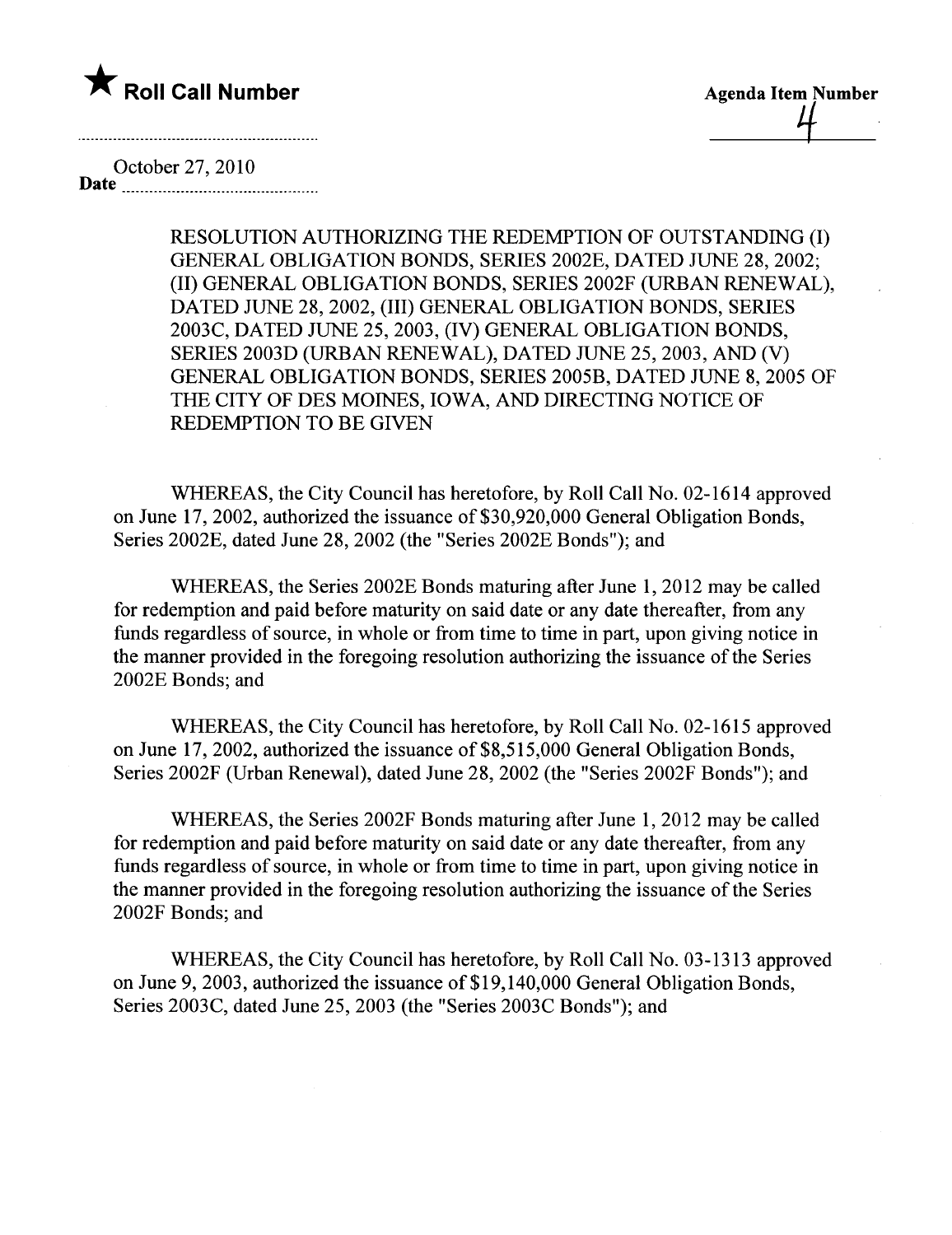

**Agenda Item Number** 

October 27,2010

Date

RESOLUTION AUTHORIZING THE REDEMPTION OF OUTSTANDING (I) GENERAL OBLIGATION BONDS, SERIES 2002E, DATED JUNE 28, 2002; (II) GENERAL OBLIGATION BONDS, SERIES 2002F (URBAN RENEWAL), DATED JUNE 28, 2002, (III) GENERAL OBLIGATION BONDS, SERIES 2003C, DATED JUNE 25, 2003, (IV) GENERAL OBLIGATION BONDS, SERIES 2003D (URBAN RENEWAL), DATED JUNE 25,2003, AND (V) GENERAL OBLIGATION BONDS, SERIES 2005B, DATED JUNE 8, 2005 OF THE CITY OF DES MOINES, IOWA, AND DIRECTING NOTICE OF REDEMPTION TO BE GIVEN

WHEREAS, the City Council has heretofore, by Roll Call No. 02-1614 approved on June 17, 2002, authorized the issuance of \$30,920,000 General Obligation Bonds, Series 2002E, dated June 28, 2002 (the "Series 2002E Bonds"); and

WHEREAS, the Series 2002E Bonds maturing after June 1,2012 may be called for redemption and paid before maturity on said date or any date thereafter, from any funds regardless of source, in whole or from time to time in part, upon giving notice in the manner provided in the foregoing resolution authorizing the issuance of the Series 2002E Bonds; and

WHEREAS, the City Council has heretofore, by Roll Call No. 02-1615 approved on June 17, 2002, authorized the issuance of \$8,515,000 General Obligation Bonds, Series 2002F (Urban Renewal), dated June 28, 2002 (the "Series 2002F Bonds"); and

WHEREAS, the Series 2002F Bonds maturing after June 1,2012 may be called for redemption and paid before maturity on said date or any date thereafter, from any funds regardless of source, in whole or from time to time in part, upon giving notice in the manner provided in the foregoing resolution authorizing the issuance of the Series 2002F Bonds; and

WHREAS, the City Council has heretofore, by Roll Call No. 03-1313 approved on June 9,2003, authorized the issuance of\$19,140,000 General Obligation Bonds, Series 2003C, dated June 25, 2003 (the "Series 2003C Bonds"); and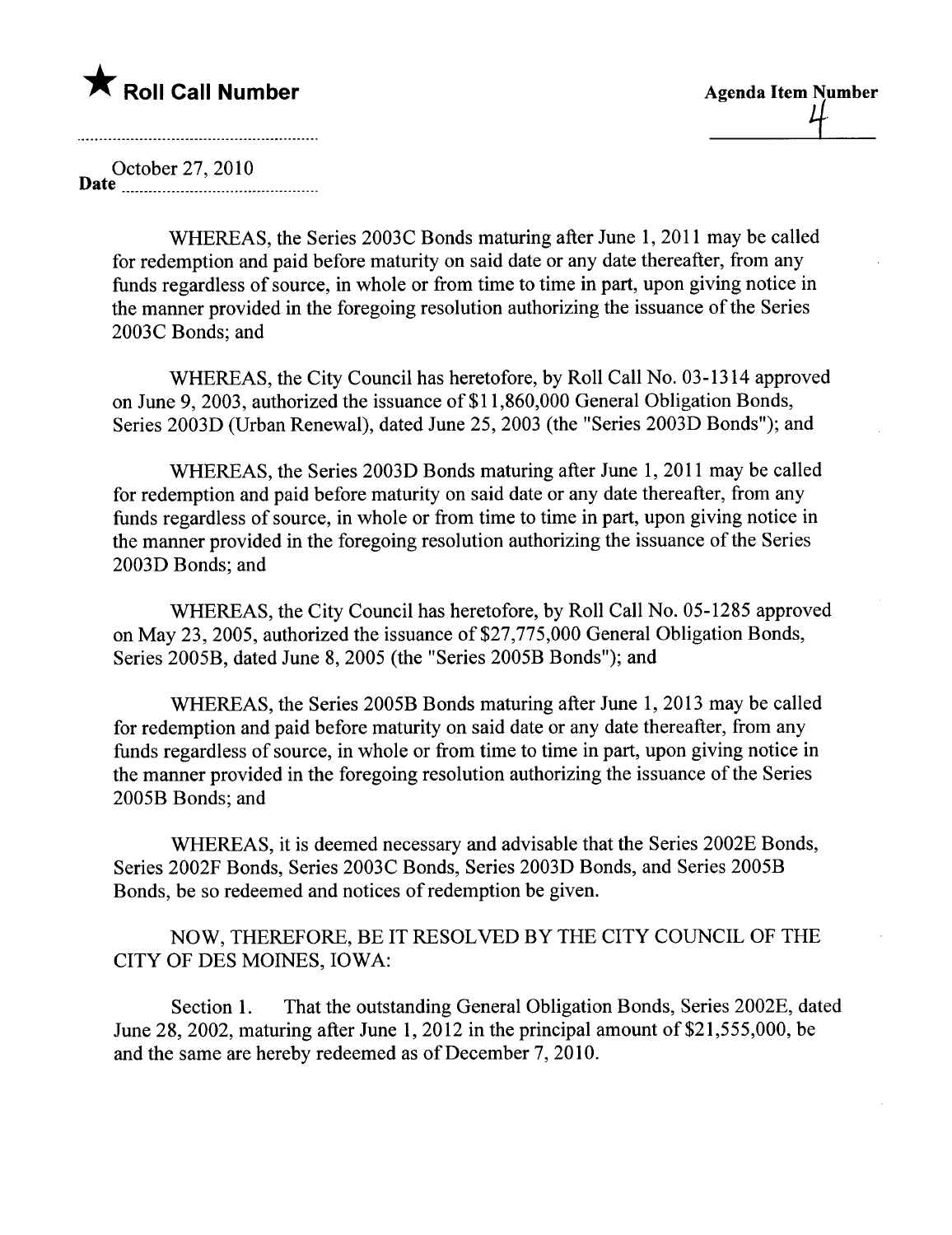# \* Roll Call Number Agenda Item Number

October 27,2010 Date **numerical** non-

WHEREAS, the Series 2003C Bonds maturing after June 1, 2011 may be called for redemption and paid before maturity on said date or any date thereafter, from any funds regardless of source, in whole or from time to time in part, upon giving notice in the manner provided in the foregoing resolution authorizing the issuance of the Series 2003C Bonds; and

WHEREAS, the City Council has heretofore, by Roll Call No. 03-1314 approved on June 9, 2003, authorized the issuance of\$II,860,000 General Obligation Bonds, Series 2003D (Urban Renewal), dated June 25, 2003 (the "Series 2003D Bonds"); and

WHEREAS, the Series 2003D Bonds maturing after June 1, 2011 may be called for redemption and paid before maturity on said date or any date thereafter, from any funds regardless of source, in whole or from time to time in part, upon giving notice in the manner provided in the foregoing resolution authorizing the issuance of the Series 2003D Bonds; and

WHEREAS, the City Council has heretofore, by Roll Call No. 05-1285 approved on May 23, 2005, authorized the issuance of \$27,775,000 General Obligation Bonds, Series 2005B, dated June 8, 2005 (the "Series 2005B Bonds"); and

WHEREAS, the Series 2005B Bonds maturing after June 1, 2013 may be called for redemption and paid before maturity on said date or any date thereafter, from any funds regardless of source, in whole or from time to time in part, upon giving notice in the manner provided in the foregoing resolution authorizing the issuance of the Series 2005B Bonds; and

WHEREAS, it is deemed necessary and advisable that the Series 2002E Bonds, Series 2002F Bonds, Series 2003C Bonds, Series 2003D Bonds, and Series 2005B Bonds, be so redeemed and notices of redemption be given.

NOW, THEREFORE, BE IT RESOLVED BY THE CITY COUNCIL OF THE CITY OF DES MOINES, IOWA:

Section 1. That the outstanding General Obligation Bonds, Series 2002E, dated June 28, 2002, maturing after June 1, 2012 in the principal amount of  $$21,555,000$ , be and the same are hereby redeemed as of December 7,2010.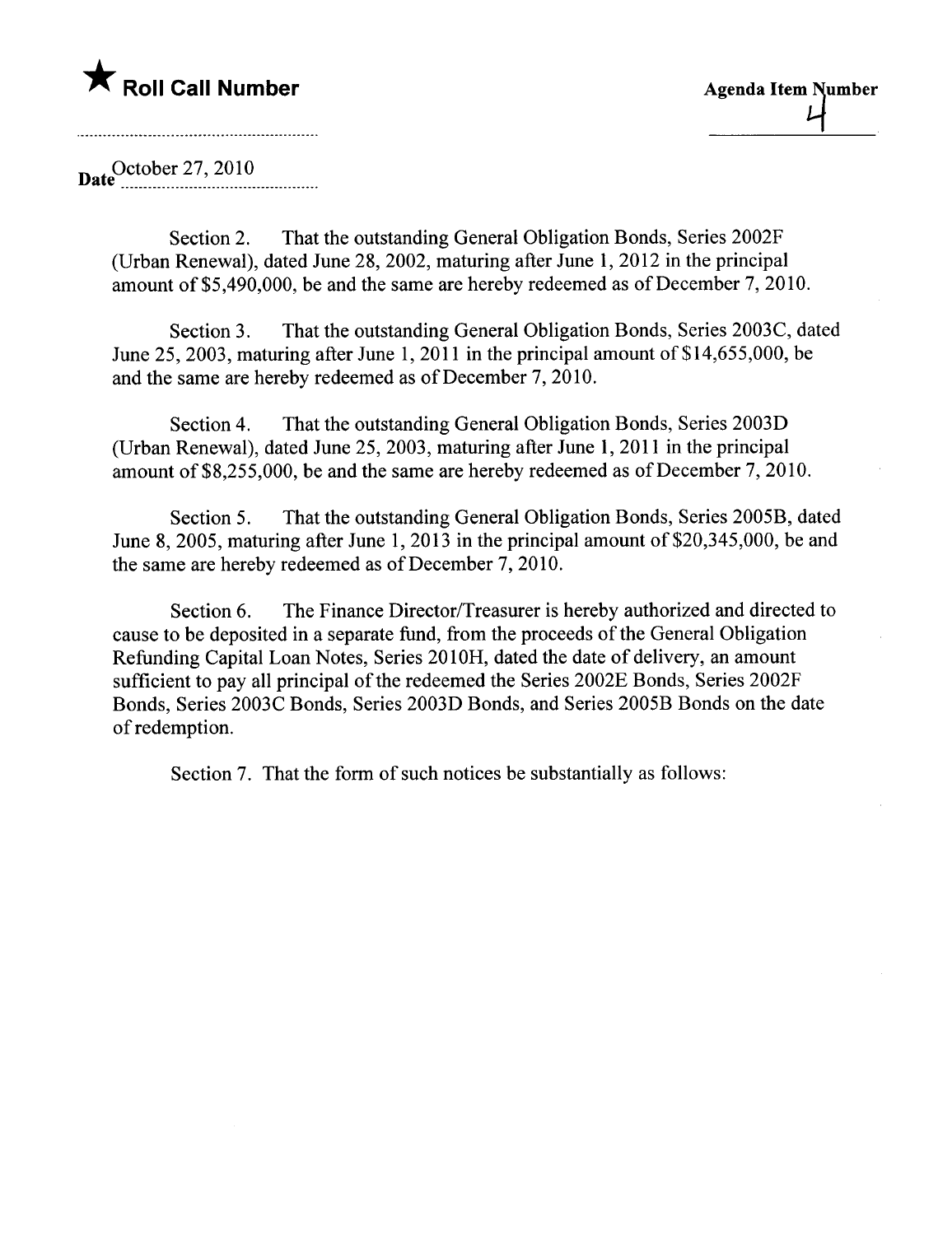# \* Roll Call Number Agenda Item Number

Date October 27, 2010

Section 2. That the outstanding General Obligation Bonds, Series 2002F (Urban Renewal), dated June 28,2002, maturing after June 1,2012 in the principal amount of \$5,490,000, be and the same are hereby redeemed as of December 7,2010.

Section 3. That the outstanding General Obligation Bonds, Series 2003C, dated June 25, 2003, maturing after June 1, 2011 in the principal amount of  $$14,655,000$ , be and the same are hereby redeemed as of December 7, 2010.

Section 4. That the outstanding General Obligation Bonds, Series 2003D (Urban Renewal), dated June 25, 2003, maturing after June 1,2011 in the principal amount of \$8,255,000, be and the same are hereby redeemed as of December 7, 2010.

Section 5. That the outstanding General Obligation Bonds, Series 2005B, dated June 8, 2005, maturing after June 1, 2013 in the principal amount of \$20,345,000, be and the same are hereby redeemed as of December 7, 2010.

Section 6. The Finance Director/Treasurer is hereby authorized and directed to cause to be deposited in a separate fund, from the proceeds of the General Obligation Refunding Capital Loan Notes, Series 201OH, dated the date of delivery, an amount sufficient to pay all principal of the redeemed the Series 2002E Bonds, Series 2002F Bonds, Series 2003C Bonds, Series 2003D Bonds, and Series 2005B Bonds on the date of redemption.

Section 7. That the form of such notices be substantially as follows: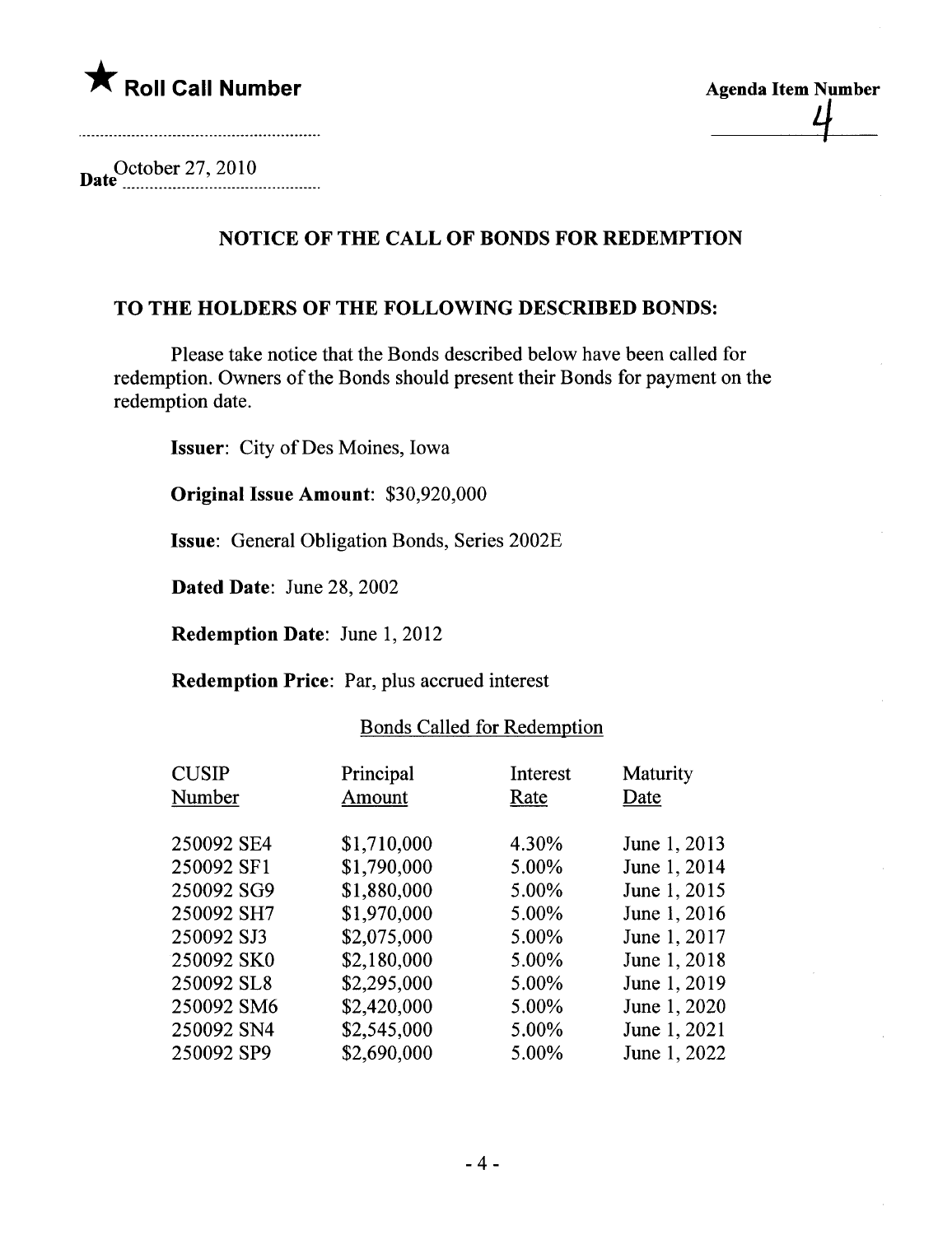



Date<sup>October</sup> 27, 2010

## NOTICE OF THE CALL OF BONDS FOR REDEMPTION

#### TO THE HOLDERS OF THE FOLLOWING DESCRIBED BONDS:

Please take notice that the Bonds described below have been called for redemption. Owners of the Bonds should present their Bonds for payment on the redemption date.

Issuer: City of Des Moines, Iowa

Original Issue Amount: \$30,920,000

Issue: General Obligation Bonds, Series 2002E

Dated Date: June 28, 2002

Redemption Date: June 1, 2012

Redemption Price: Par, plus accrued interest

| Principal<br>Amount | Interest<br>Rate | Maturity<br>Date |
|---------------------|------------------|------------------|
|                     |                  |                  |
|                     |                  | June 1, 2013     |
| \$1,790,000         | 5.00%            | June 1, 2014     |
| \$1,880,000         | 5.00%            | June 1, 2015     |
| \$1,970,000         | 5.00%            | June 1, 2016     |
| \$2,075,000         | 5.00%            | June 1, 2017     |
| \$2,180,000         | 5.00%            | June 1, 2018     |
| \$2,295,000         | 5.00%            | June 1, 2019     |
| \$2,420,000         | 5.00%            | June 1, 2020     |
| \$2,545,000         | 5.00%            | June 1, 2021     |
| \$2,690,000         | 5.00%            | June 1, 2022     |
|                     | \$1,710,000      | 4.30%            |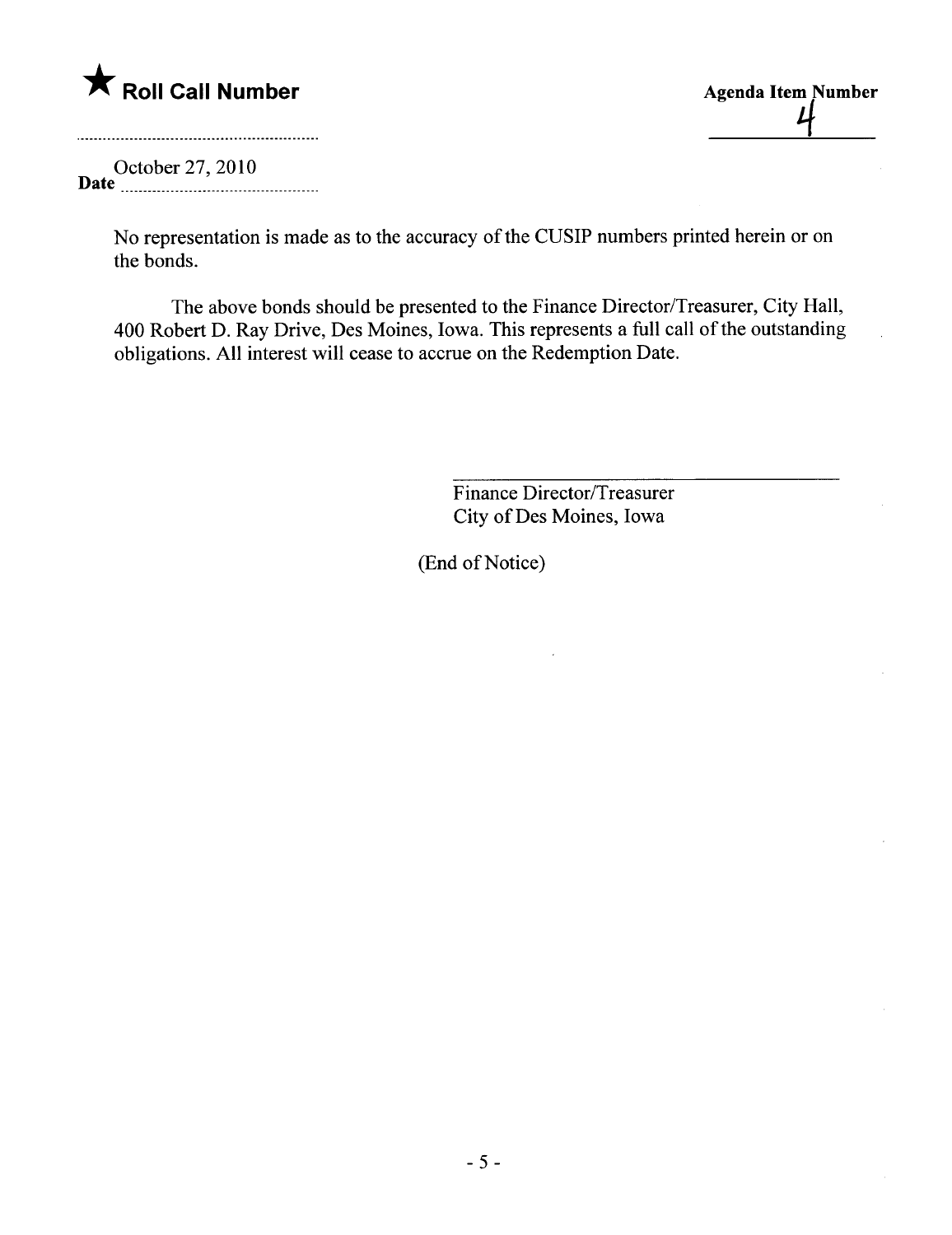

<u>4</u>

October 27,2010 Date \_ \_ \_ \_nnn \_ \_ nn \_ ...\_\_.nnnn \_ \_ \_ \_ \_ \_ n\_n \_\_

No representation is made as to the accuracy of the CUSIP numbers printed herein or on the bonds.

The above bonds should be presented to the Finance Director/Treasurer, City Hall, 400 Robert D. Ray Drive, Des Moines, Iowa. This represents a full call of the outstanding obligations. All interest will cease to accrue on the Redemption Date.

> Finance Director/Treasurer City of Des Moines, Iowa

(End of Notice)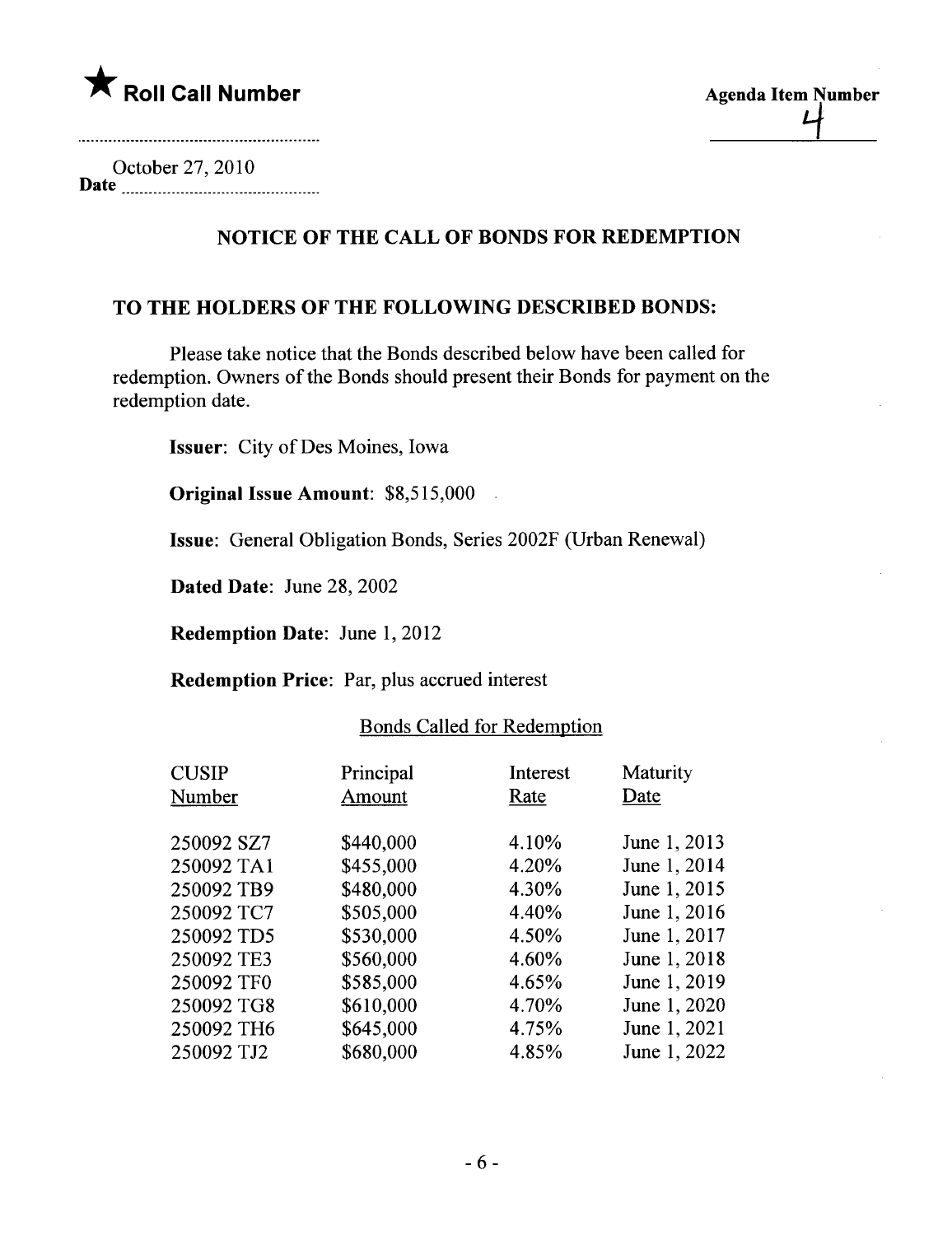

| <b>Agenda Item Number</b> |
|---------------------------|
|                           |
|                           |

October 27,2010 Date

# NOTICE OF THE CALL OF BONDS FOR REDEMPTION

## TO THE HOLDERS OF THE FOLLOWING DESCRIBED BONDS:

Please take notice that the Bonds described below have been called for redemption. Owners of the Bonds should present their Bonds for payment on the redemption date.

Issuer: City of Des Moines, Iowa

Original Issue Amount: \$8,515,000

Issue: General Obligation Bonds, Series 2002F (Urban Renewal)

Dated Date: June 28, 2002

Redemption Date: June 1, 2012

Redemption Price: Par, plus accrued interest

| Principal<br>Amount | Interest<br>Rate | Maturity<br>Date |
|---------------------|------------------|------------------|
| \$440,000           | 4.10%            | June 1, 2013     |
| \$455,000           | 4.20%            | June 1, 2014     |
| \$480,000           | 4.30%            | June 1, 2015     |
| \$505,000           | 4.40%            | June 1, 2016     |
| \$530,000           | 4.50%            | June 1, 2017     |
| \$560,000           | 4.60%            | June 1, 2018     |
| \$585,000           | 4.65%            | June 1, 2019     |
| \$610,000           | 4.70%            | June 1, 2020     |
| \$645,000           | 4.75%            | June 1, 2021     |
| \$680,000           | 4.85%            | June 1, 2022     |
|                     |                  |                  |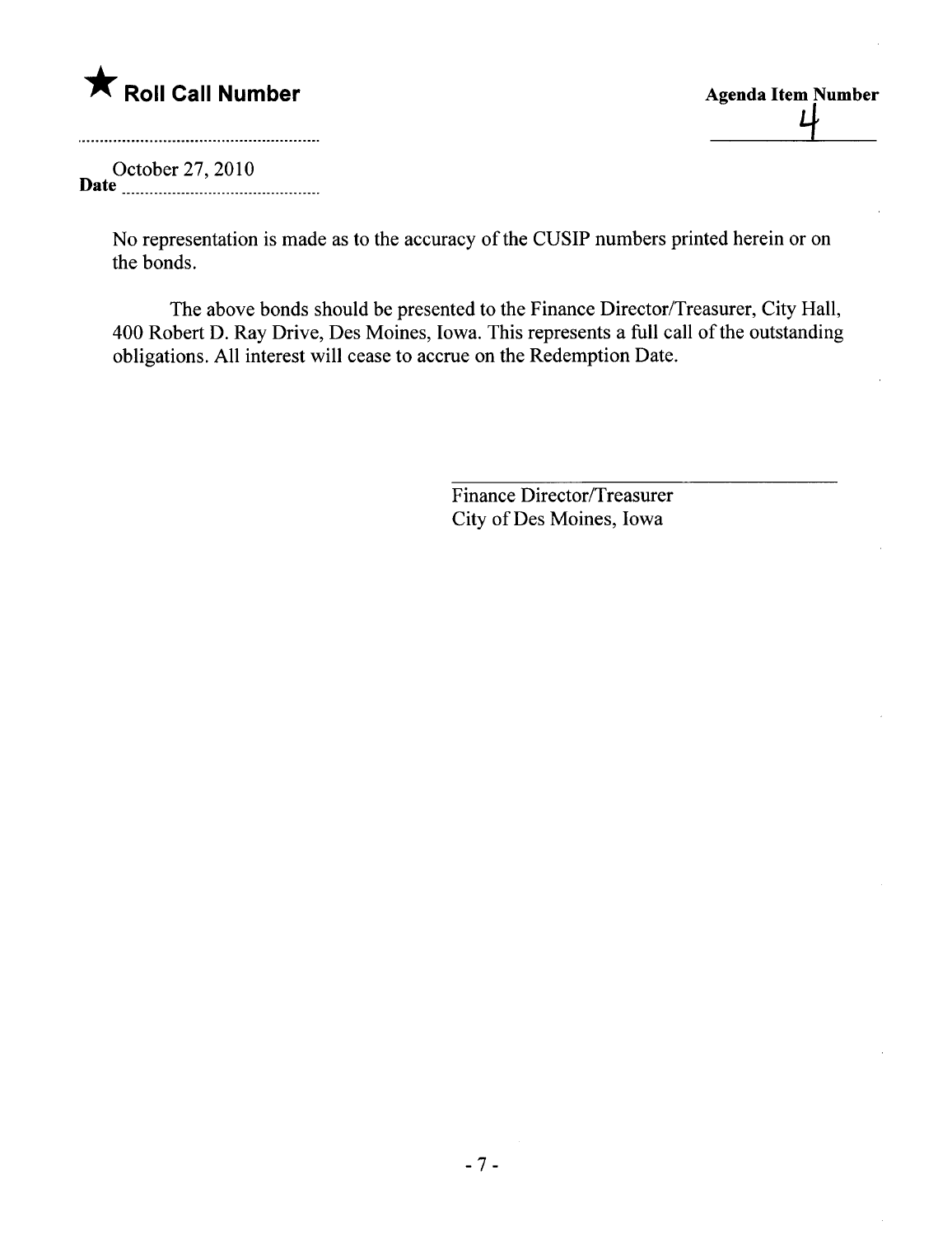

| <b>Agenda Item Number</b> |  |
|---------------------------|--|
|                           |  |
|                           |  |

October 27,2010 Date n \_ n\_ \_ nnnnn\_ \_n\_ \_ \_n\_ \_ \_ \_ \_ n \_ n\_n \_ n\_\_

No representation is made as to the accuracy of the CUSIP numbers printed herein or on the bonds.

The above bonds should be presented to the Finance Director/Treasurer, City Hall, 400 Robert D. Ray Drive, Des Moines, Iowa. This represents a full call of the outstanding obligations. All interest will cease to accrue on the Redemption Date.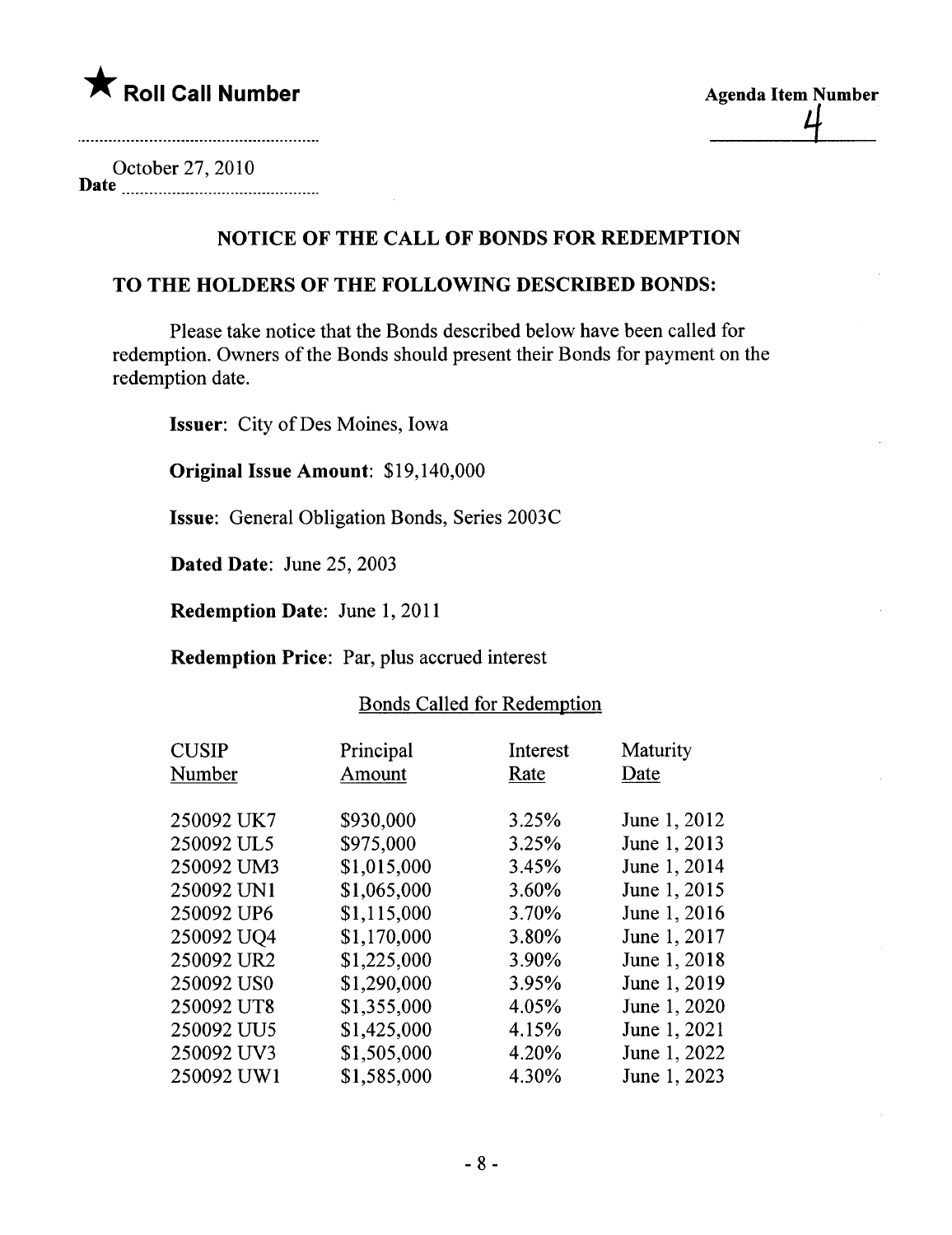

| <b>Agenda Item Number</b> |
|---------------------------|
|                           |
|                           |

October 27,2010 Date

# NOTICE OF THE CALL OF BONDS FOR REDEMPTION

## TO THE HOLDERS OF THE FOLLOWING DESCRIBED BONDS:

Please take notice that the Bonds described below have been called for redemption. Owners of the Bonds should present their Bonds for payment on the redemption date.

Issuer: City of Des Moines, Iowa

Original Issue Amount: \$19,140,000

Issue: General Obligation Bonds, Series 2003C

Dated Date: June 25, 2003

Redemption Date: June 1, 2011

Redemption Price: Par, plus accrued interest

| Principal   | Interest | Maturity<br>Date |
|-------------|----------|------------------|
|             |          |                  |
| \$930,000   | 3.25%    | June 1, 2012     |
| \$975,000   | 3.25%    | June 1, 2013     |
| \$1,015,000 | 3.45%    | June 1, 2014     |
| \$1,065,000 | 3.60%    | June 1, 2015     |
| \$1,115,000 | 3.70%    | June 1, 2016     |
| \$1,170,000 | 3.80%    | June 1, 2017     |
| \$1,225,000 | 3.90%    | June 1, 2018     |
| \$1,290,000 | 3.95%    | June 1, 2019     |
| \$1,355,000 | 4.05%    | June 1, 2020     |
| \$1,425,000 | 4.15%    | June 1, 2021     |
| \$1,505,000 | 4.20%    | June 1, 2022     |
| \$1,585,000 | 4.30%    | June 1, 2023     |
|             | Amount   | Rate             |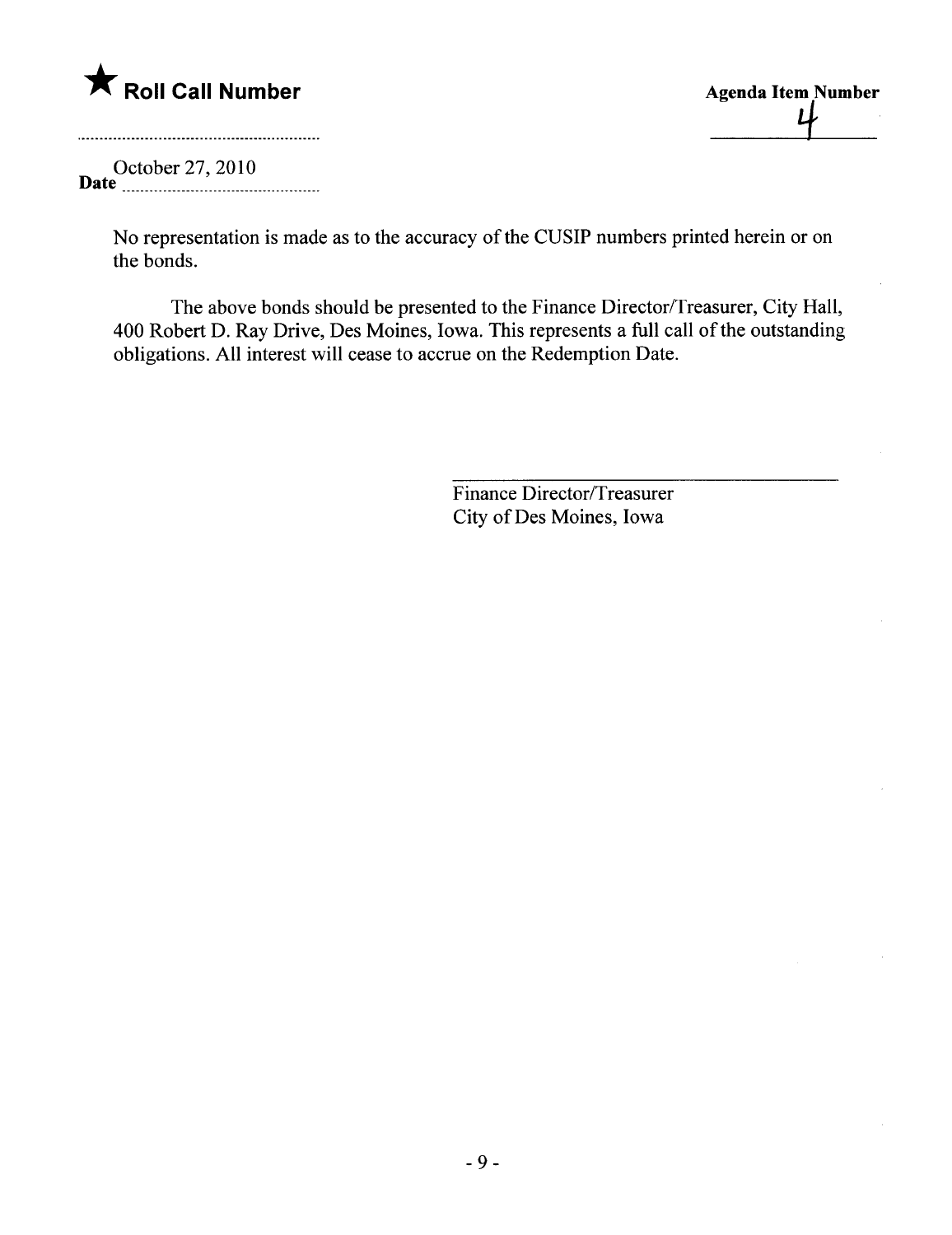

 $\mathfrak{p}$ 

October 27,2010 Date \_ \_ \_n\_n \_ \_n \_ nn \_ \_ \_ \_ \_ \_ \_ \_nn\_nn \_ n\_n \_ \_ \_\_

> No representation is made as to the accuracy of the CUSIP numbers printed herein or on the bonds.

The above bonds should be presented to the Finance Director/Treasurer, City Hall, 400 Robert D. Ray Drive, Des Moines, Iowa. This represents a full call of the outstanding obligations. All interest wil cease to accrue on the Redemption Date.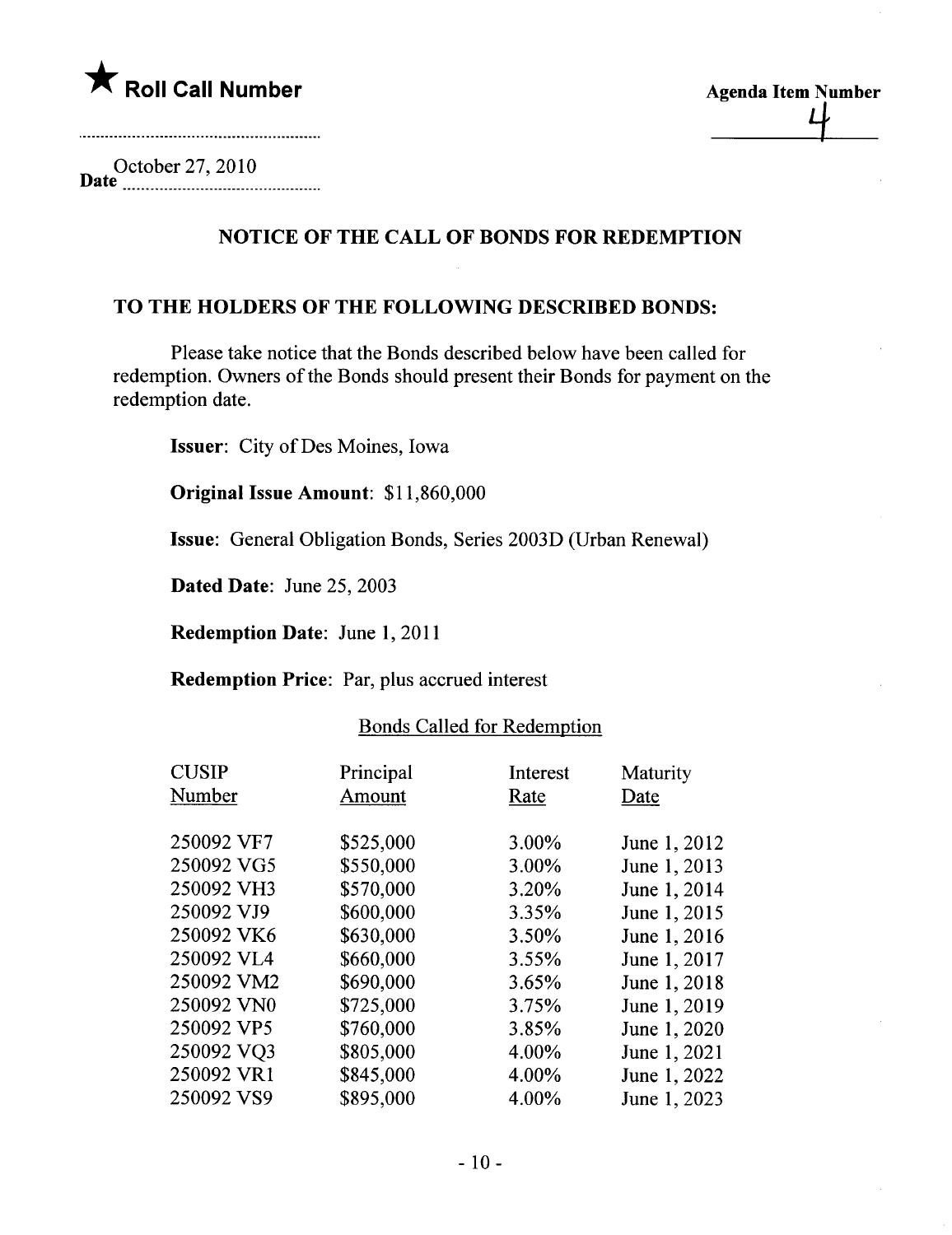

| <b>Agenda Item Number</b> |
|---------------------------|
|                           |
|                           |

October 27,2010 Date \_\_..\_\_ \_\_ \_ \_ \_\_\_\_\_\_\_\_\_\_\_\_\_\_\_\_\_ \_ \_ \_ \_ \_ \_\_\_\_\_\_\_.\_\_\_\_

# NOTICE OF THE CALL OF BONDS FOR REDEMPTION

## TO THE HOLDERS OF THE FOLLOWING DESCRIBED BONDS:

Please take notice that the Bonds described below have been called for redemption. Owners of the Bonds should present their Bonds for payment on the redemption date.

Issuer: City of Des Moines, Iowa

Original Issue Amount: \$11,860,000

Issue: General Obligation Bonds, Series 2003D (Urban Renewal)

Dated Date: June 25, 2003

Redemption Date: June 1, 2011

Redemption Price: Par, plus accrued interest

| <b>CUSIP</b><br>Number | Principal<br>Amount | Interest<br>Rate | Maturity<br>Date |
|------------------------|---------------------|------------------|------------------|
| 250092 VF7             | \$525,000           | 3.00%            | June 1, 2012     |
| 250092 VG5             | \$550,000           | 3.00%            | June 1, 2013     |
| 250092 VH3             | \$570,000           | 3.20%            | June 1, 2014     |
| 250092 VJ9             | \$600,000           | 3.35%            | June 1, 2015     |
| 250092 VK6             | \$630,000           | 3.50%            | June 1, 2016     |
| 250092 VL4             | \$660,000           | 3.55%            | June 1, 2017     |
| 250092 VM2             | \$690,000           | 3.65%            | June 1, 2018     |
| 250092 VN0             | \$725,000           | 3.75%            | June 1, 2019     |
| 250092 VP5             | \$760,000           | 3.85%            | June 1, 2020     |
| 250092 VO3             | \$805,000           | 4.00%            | June 1, 2021     |
| 250092 VR1             | \$845,000           | 4.00%            | June 1, 2022     |
| 250092 VS9             | \$895,000           | 4.00%            | June 1, 2023     |
|                        |                     |                  |                  |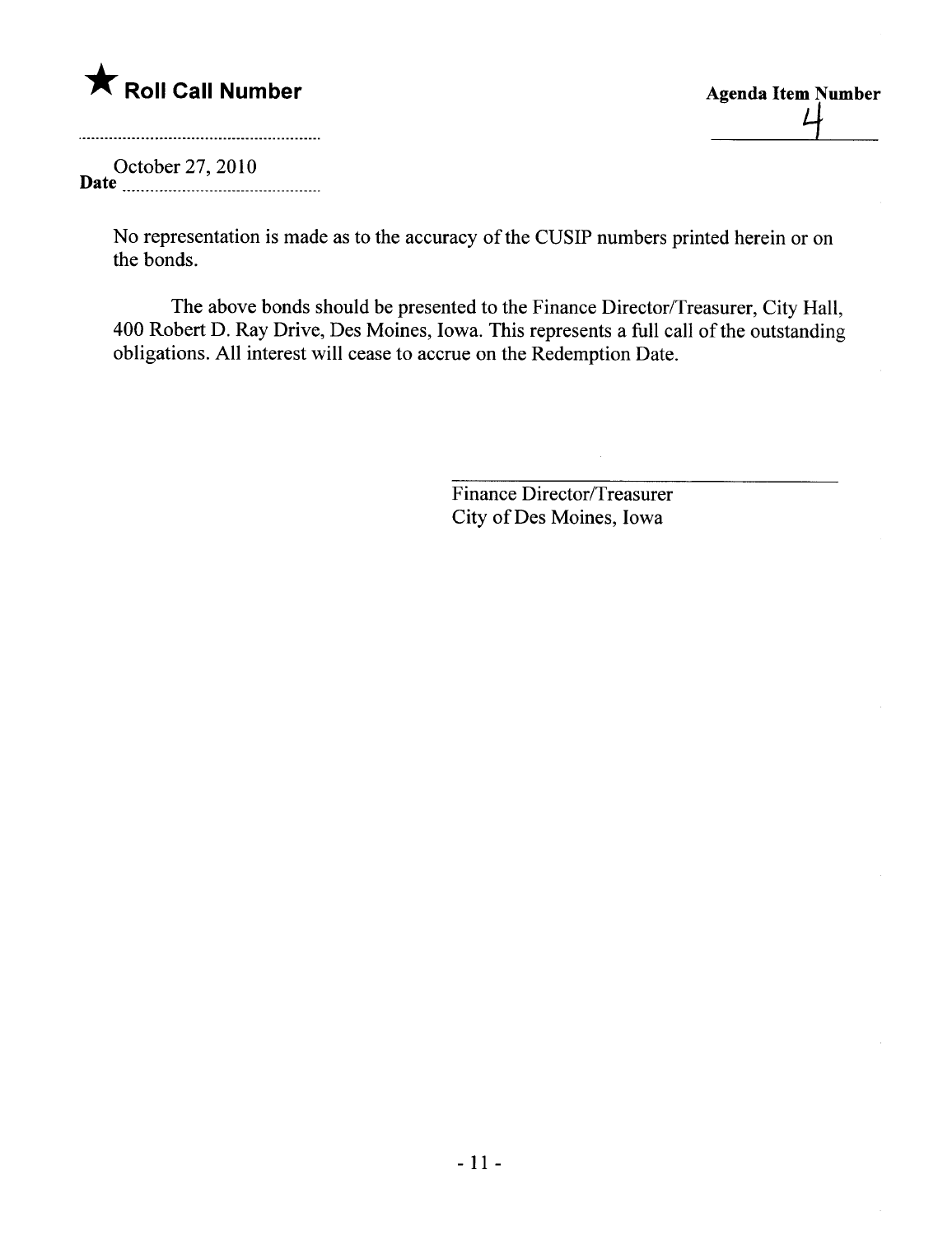

|  | <b>Agenda Item Number</b> |
|--|---------------------------|
|  |                           |
|  |                           |

October 27,2010 Date  $\frac{1}{2}$  and  $\frac{1}{2}$  are  $\frac{1}{2}$  and  $\frac{1}{2}$  are  $\frac{1}{2}$  and  $\frac{1}{2}$  are  $\frac{1}{2}$  and  $\frac{1}{2}$  are  $\frac{1}{2}$  are  $\frac{1}{2}$  and  $\frac{1}{2}$  are  $\frac{1}{2}$  are  $\frac{1}{2}$  and  $\frac{1}{2}$  are  $\frac{1}{2}$  and  $\frac{1}{$ 

> No representation is made as to the accuracy of the CUSIP numbers printed herein or on the bonds.

The above bonds should be presented to the Finance Director/Treasurer, City Hall, 400 Robert D. Ray Drive, Des Moines, Iowa. This represents a full call of the outstanding obligations. All interest wil cease to accrue on the Redemption Date.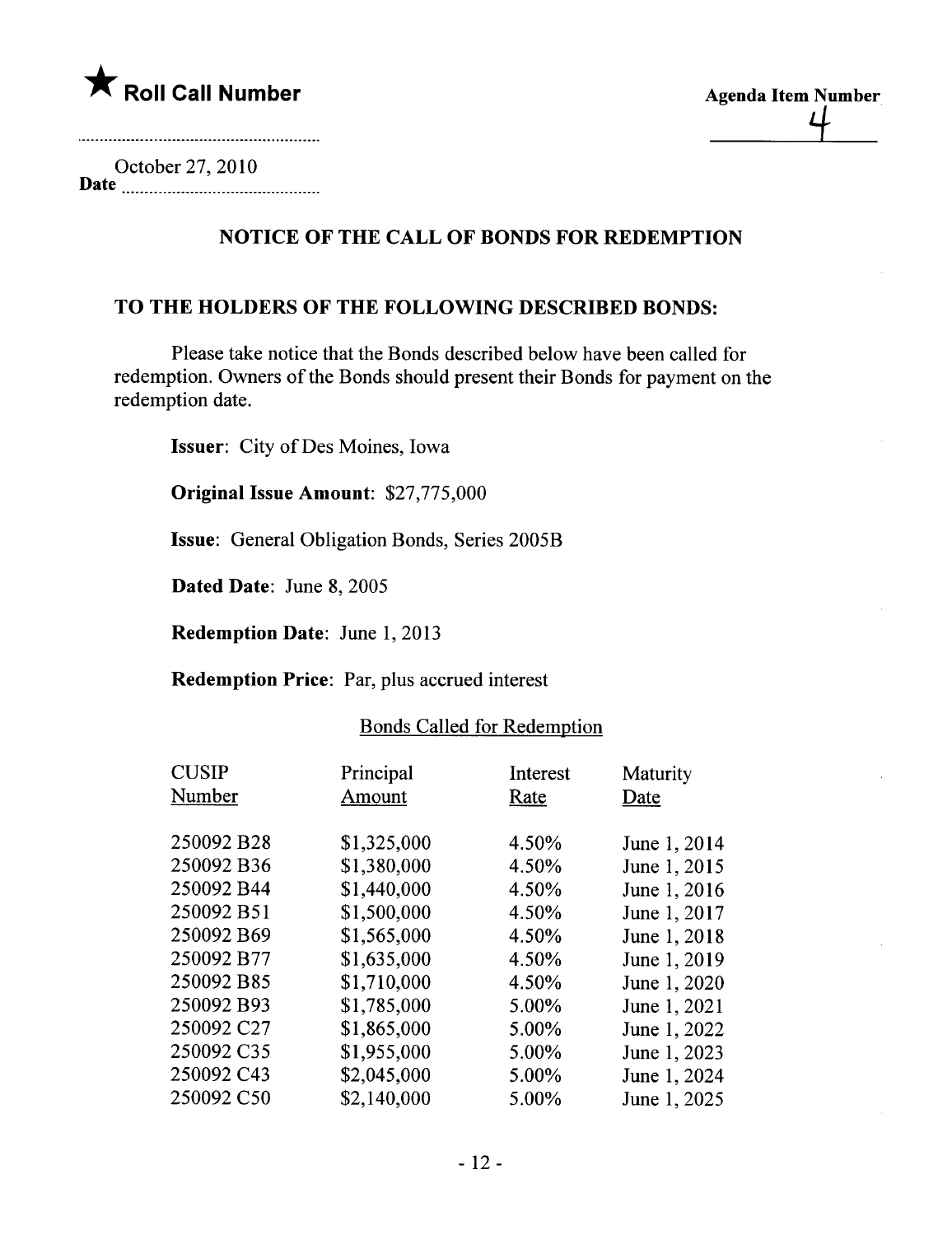

October 27,2010 Date

# NOTICE OF THE CALL OF BONDS FOR REDEMPTION

## TO THE HOLDERS OF THE FOLLOWING DESCRIBED BONDS:

Please take notice that the Bonds described below have been called for redemption. Owners of the Bonds should present their Bonds for payment on the redemption date.

Issuer: City of Des Moines, Iowa

Original Issue Amount: \$27,775,000

Issue: General Obligation Bonds, Series 2005B

Dated Date: June 8, 2005

Redemption Date: June 1, 2013

Redemption Price: Par, plus accrued interest

| <b>CUSIP</b><br>Number | Principal<br>Amount | Interest<br>Rate | Maturity<br>Date |
|------------------------|---------------------|------------------|------------------|
| 250092 B28             | \$1,325,000         | 4.50%            | June 1, 2014     |
| 250092 B36             | \$1,380,000         | 4.50%            | June 1, 2015     |
| 250092 B44             | \$1,440,000         | 4.50%            | June 1, 2016     |
| 250092 B51             | \$1,500,000         | 4.50%            | June 1, 2017     |
| 250092 B69             | \$1,565,000         | 4.50%            | June 1, 2018     |
| 250092 B77             | \$1,635,000         | 4.50%            | June 1, 2019     |
| 250092 B85             | \$1,710,000         | 4.50%            | June 1, 2020     |
| 250092 B93             | \$1,785,000         | 5.00%            | June 1, 2021     |
| 250092 C27             | \$1,865,000         | 5.00%            | June 1, 2022     |
| 250092 C35             | \$1,955,000         | 5.00%            | June 1, 2023     |
| 250092 C43             | \$2,045,000         | 5.00%            | June 1, 2024     |
| 250092 C50             | \$2,140,000         | 5.00%            | June 1, 2025     |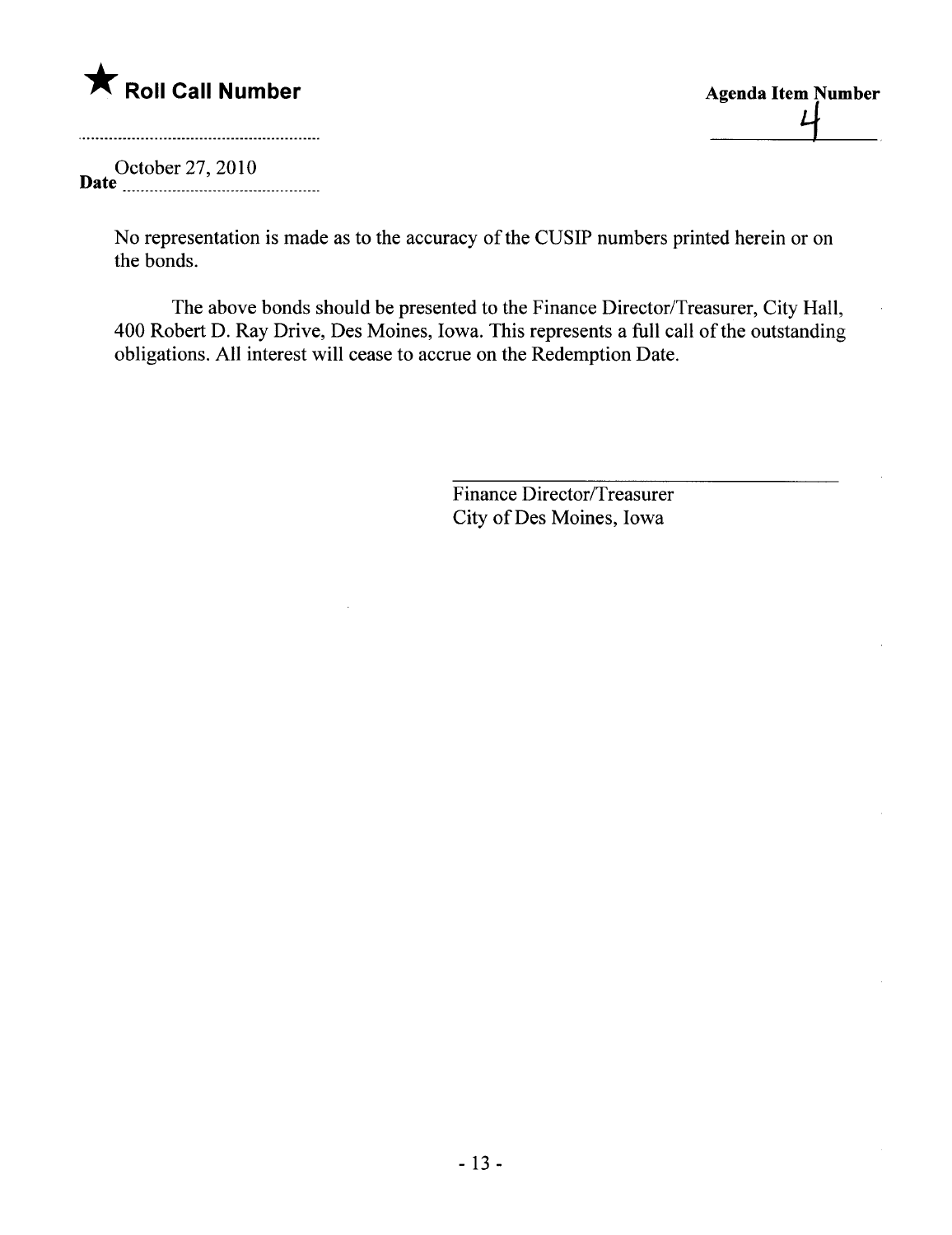

Agenda Item Number

October 27,2010 Date . \_\_\_\_nn \_ \_ 0000 \_00000000000000000000 \_00\_ \_ 00\_

> No representation is made as to the accuracy of the CUSIP numbers printed herein or on the bonds.

The above bonds should be presented to the Finance Director/Treasurer, City Hall, 400 Robert D. Ray Drive, Des Moines, Iowa. This represents a full call of the outstanding obligations. All interest will cease to accrue on the Redemption Date.